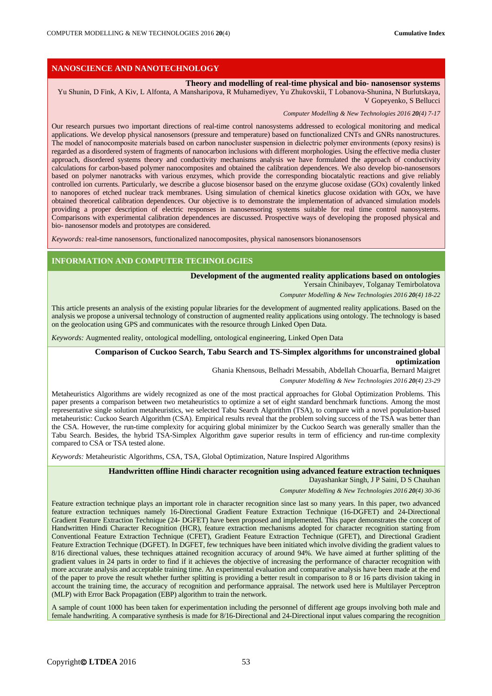# **NANOSCIENCE AND NANOTECHNOLOGY**

**Theory and modelling of real-time physical and bio- nanosensor systems** Yu Shunin, D Fink, A Kiv, L Alfonta, A Mansharipova, R Muhamediyev, Yu Zhukovskii, T Lobanova-Shunina, N Burlutskaya, V Gopeyenko, S Bellucci

*Computer Modelling & New Technologies 2016 20(4) 7-17*

Our research pursues two important directions of real-time control nanosystems addressed to ecological monitoring and medical applications. We develop physical nanosensors (pressure and temperature) based on functionalized CNTs and GNRs nanostructures. The model of nanocomposite materials based on carbon nanoсluster suspension in dielectric polymer environments (epoxy resins) is regarded as a disordered system of fragments of nanocarbon inclusions with different morphologies. Using the effective media cluster approach, disordered systems theory and conductivity mechanisms analysis we have formulated the approach of conductivity calculations for carbon-based polymer nanocomposites and obtained the calibration dependences. We also develop bio-nanosensors based on polymer nanotracks with various enzymes, which provide the corresponding biocatalytic reactions and give reliably controlled ion currents. Particularly, we describe a glucose biosensor based on the enzyme glucose oxidase (GOx) covalently linked to nanopores of etched nuclear track membranes. Using simulation of chemical kinetics glucose oxidation with GOx, we have obtained theoretical calibration dependences. Our objective is to demonstrate the implementation of advanced simulation models providing a proper description of electric responses in nanosensoring systems suitable for real time control nanosystems. Comparisons with experimental calibration dependences are discussed. Prospective ways of developing the proposed physical and bio- nanosensor models and prototypes are considered.

*Keywords:* real-time nanosensors, functionalized nanocomposites, physical nanosensors bionanosensors

### **INFORMATION AND COMPUTER TECHNOLOGIES**

**Development of the augmented reality applications based on ontologies**

Yersain Chinibayev, Tolganay Temirbolatova

*Computer Modelling & New Technologies 2016 20(4) 18-22*

This article presents an analysis of the existing popular libraries for the development of augmented reality applications. Based on the analysis we propose a universal technology of construction of augmented reality applications using ontology. The technology is based on the geolocation using GPS and communicates with the resource through Linked Open Data.

*Keywords:* Augmented reality, ontological modelling, ontological engineering, Linked Open Data

### **Comparison of Cuckoo Search, Tabu Search and TS-Simplex algorithms for unconstrained global optimization**

Ghania Khensous, Belhadri Messabih, Abdellah Chouarfia, Bernard Maigret

*Computer Modelling & New Technologies 2016 20(4) 23-29*

Metaheuristics Algorithms are widely recognized as one of the most practical approaches for Global Optimization Problems. This paper presents a comparison between two metaheuristics to optimize a set of eight standard benchmark functions. Among the most representative single solution metaheuristics, we selected Tabu Search Algorithm (TSA), to compare with a novel population-based metaheuristic: Cuckoo Search Algorithm (CSA). Empirical results reveal that the problem solving success of the TSA was better than the CSA. However, the run-time complexity for acquiring global minimizer by the Cuckoo Search was generally smaller than the Tabu Search. Besides, the hybrid TSA-Simplex Algorithm gave superior results in term of efficiency and run-time complexity compared to CSA or TSA tested alone.

*Keywords:* Metaheuristic Algorithms, CSA, TSA, Global Optimization, Nature Inspired Algorithms

### **Handwritten offline Hindi character recognition using advanced feature extraction techniques**

Dayashankar Singh, J P Saini, D S Chauhan

*Computer Modelling & New Technologies 2016 20(4) 30-36*

Feature extraction technique plays an important role in character recognition since last so many years. In this paper, two advanced feature extraction techniques namely 16-Directional Gradient Feature Extraction Technique (16-DGFET) and 24-Directional Gradient Feature Extraction Technique (24- DGFET) have been proposed and implemented. This paper demonstrates the concept of Handwritten Hindi Character Recognition (HCR), feature extraction mechanisms adopted for character recognition starting from Conventional Feature Extraction Technique (CFET), Gradient Feature Extraction Technique (GFET), and Directional Gradient Feature Extraction Technique (DGFET). In DGFET, few techniques have been initiated which involve dividing the gradient values to 8/16 directional values, these techniques attained recognition accuracy of around 94%. We have aimed at further splitting of the gradient values in 24 parts in order to find if it achieves the objective of increasing the performance of character recognition with more accurate analysis and acceptable training time. An experimental evaluation and comparative analysis have been made at the end of the paper to prove the result whether further splitting is providing a better result in comparison to 8 or 16 parts division taking in account the training time, the accuracy of recognition and performance appraisal. The network used here is Multilayer Perceptron (MLP) with Error Back Propagation (EBP) algorithm to train the network.

A sample of count 1000 has been taken for experimentation including the personnel of different age groups involving both male and female handwriting. A comparative synthesis is made for 8/16-Directional and 24-Directional input values comparing the recognition